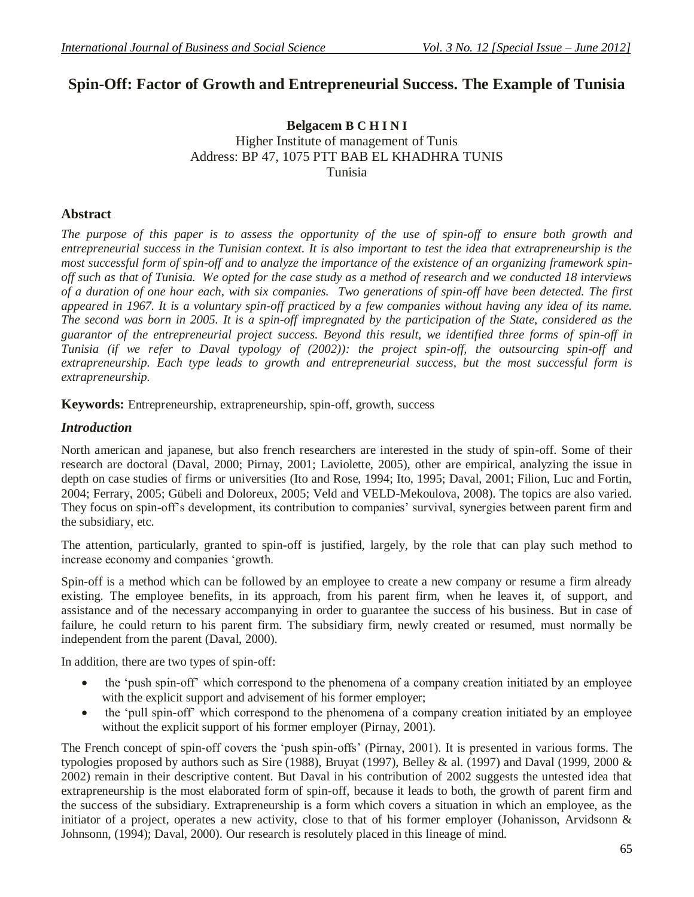# **Spin-Off: Factor of Growth and Entrepreneurial Success. The Example of Tunisia**

## **Belgacem B C H I N I** Higher Institute of management of Tunis Address: BP 47, 1075 PTT BAB EL KHADHRA TUNIS Tunisia

## **Abstract**

*The purpose of this paper is to assess the opportunity of the use of spin-off to ensure both growth and entrepreneurial success in the Tunisian context. It is also important to test the idea that extrapreneurship is the most successful form of spin-off and to analyze the importance of the existence of an organizing framework spinoff such as that of Tunisia. We opted for the case study as a method of research and we conducted 18 interviews of a duration of one hour each, with six companies. Two generations of spin-off have been detected. The first appeared in 1967. It is a voluntary spin-off practiced by a few companies without having any idea of its name. The second was born in 2005. It is a spin-off impregnated by the participation of the State, considered as the guarantor of the entrepreneurial project success. Beyond this result, we identified three forms of spin-off in Tunisia (if we refer to Daval typology of (2002)): the project spin-off, the outsourcing spin-off and extrapreneurship. Each type leads to growth and entrepreneurial success, but the most successful form is extrapreneurship.*

**Keywords:** Entrepreneurship, extrapreneurship, spin-off, growth, success

## *Introduction*

North american and japanese, but also french researchers are interested in the study of spin-off. Some of their research are doctoral (Daval, 2000; Pirnay, 2001; Laviolette, 2005), other are empirical, analyzing the issue in depth on case studies of firms or universities (Ito and Rose, 1994; Ito, 1995; Daval, 2001; Filion, Luc and Fortin, 2004; Ferrary, 2005; Gübeli and Doloreux, 2005; Veld and VELD-Mekoulova, 2008). The topics are also varied. They focus on spin-off's development, its contribution to companies' survival, synergies between parent firm and the subsidiary, etc.

The attention, particularly, granted to spin-off is justified, largely, by the role that can play such method to increase economy and companies 'growth.

Spin-off is a method which can be followed by an employee to create a new company or resume a firm already existing. The employee benefits, in its approach, from his parent firm, when he leaves it, of support, and assistance and of the necessary accompanying in order to guarantee the success of his business. But in case of failure, he could return to his parent firm. The subsidiary firm, newly created or resumed, must normally be independent from the parent (Daval, 2000).

In addition, there are two types of spin-off:

- the 'push spin-off' which correspond to the phenomena of a company creation initiated by an employee with the explicit support and advisement of his former employer;
- the 'pull spin-off' which correspond to the phenomena of a company creation initiated by an employee without the explicit support of his former employer (Pirnay, 2001).

The French concept of spin-off covers the 'push spin-offs' (Pirnay, 2001). It is presented in various forms. The typologies proposed by authors such as Sire (1988), Bruyat (1997), Belley & al. (1997) and Daval (1999, 2000 & 2002) remain in their descriptive content. But Daval in his contribution of 2002 suggests the untested idea that extrapreneurship is the most elaborated form of spin-off, because it leads to both, the growth of parent firm and the success of the subsidiary. Extrapreneurship is a form which covers a situation in which an employee, as the initiator of a project, operates a new activity, close to that of his former employer (Johanisson, Arvidsonn & Johnsonn, (1994); Daval, 2000). Our research is resolutely placed in this lineage of mind.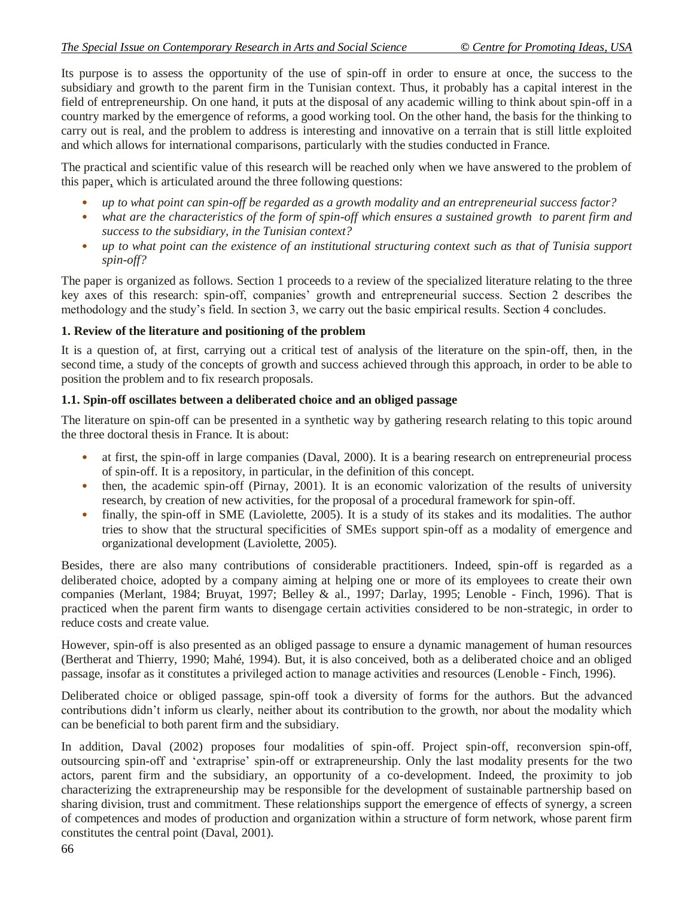Its purpose is to assess the opportunity of the use of spin-off in order to ensure at once, the success to the subsidiary and growth to the parent firm in the Tunisian context. Thus, it probably has a capital interest in the field of entrepreneurship. On one hand, it puts at the disposal of any academic willing to think about spin-off in a country marked by the emergence of reforms, a good working tool. On the other hand, the basis for the thinking to carry out is real, and the problem to address is interesting and innovative on a terrain that is still little exploited and which allows for international comparisons, particularly with the studies conducted in France.

The practical and scientific value of this research will be reached only when we have answered to the problem of this paper, which is articulated around the three following questions:

- *up to what point can spin-off be regarded as a growth modality and an entrepreneurial success factor?*
- *what are the characteristics of the form of spin-off which ensures a sustained growth to parent firm and success to the subsidiary, in the Tunisian context?*
- *up to what point can the existence of an institutional structuring context such as that of Tunisia support spin-off?*

The paper is organized as follows. Section 1 proceeds to a review of the specialized literature relating to the three key axes of this research: spin-off, companies' growth and entrepreneurial success. Section 2 describes the methodology and the study's field. In section 3, we carry out the basic empirical results. Section 4 concludes.

#### **1. Review of the literature and positioning of the problem**

It is a question of, at first, carrying out a critical test of analysis of the literature on the spin-off, then, in the second time, a study of the concepts of growth and success achieved through this approach, in order to be able to position the problem and to fix research proposals.

#### **1.1. Spin-off oscillates between a deliberated choice and an obliged passage**

The literature on spin-off can be presented in a synthetic way by gathering research relating to this topic around the three doctoral thesis in France. It is about:

- at first, the spin-off in large companies (Daval, 2000). It is a bearing research on entrepreneurial process of spin-off. It is a repository, in particular, in the definition of this concept.
- then, the academic spin-off (Pirnay, 2001). It is an economic valorization of the results of university research, by creation of new activities, for the proposal of a procedural framework for spin-off.
- finally, the spin-off in SME (Laviolette, 2005). It is a study of its stakes and its modalities. The author tries to show that the structural specificities of SMEs support spin-off as a modality of emergence and organizational development (Laviolette, 2005).

Besides, there are also many contributions of considerable practitioners. Indeed, spin-off is regarded as a deliberated choice, adopted by a company aiming at helping one or more of its employees to create their own companies (Merlant, 1984; Bruyat, 1997; Belley & al., 1997; Darlay, 1995; Lenoble - Finch, 1996). That is practiced when the parent firm wants to disengage certain activities considered to be non-strategic, in order to reduce costs and create value.

However, spin-off is also presented as an obliged passage to ensure a dynamic management of human resources (Bertherat and Thierry, 1990; Mahé, 1994). But, it is also conceived, both as a deliberated choice and an obliged passage, insofar as it constitutes a privileged action to manage activities and resources (Lenoble - Finch, 1996).

Deliberated choice or obliged passage, spin-off took a diversity of forms for the authors. But the advanced contributions didn't inform us clearly, neither about its contribution to the growth, nor about the modality which can be beneficial to both parent firm and the subsidiary.

In addition, Daval (2002) proposes four modalities of spin-off. Project spin-off, reconversion spin-off, outsourcing spin-off and 'extraprise' spin-off or extrapreneurship. Only the last modality presents for the two actors, parent firm and the subsidiary, an opportunity of a co-development. Indeed, the proximity to job characterizing the extrapreneurship may be responsible for the development of sustainable partnership based on sharing division, trust and commitment. These relationships support the emergence of effects of synergy, a screen of competences and modes of production and organization within a structure of form network, whose parent firm constitutes the central point (Daval, 2001).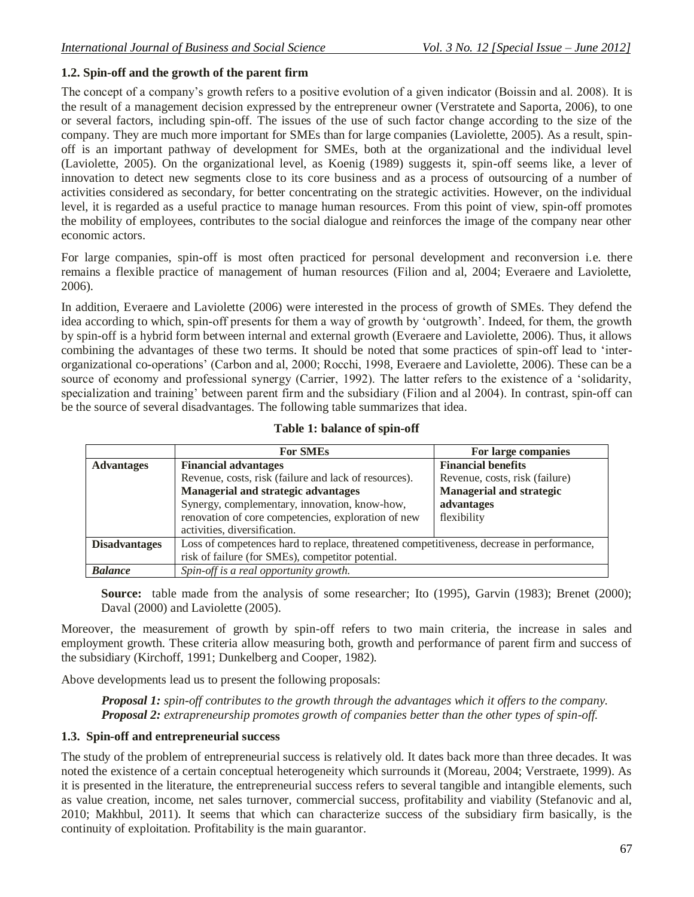#### **1.2. Spin-off and the growth of the parent firm**

The concept of a company's growth refers to a positive evolution of a given indicator (Boissin and al. 2008). It is the result of a management decision expressed by the entrepreneur owner (Verstratete and Saporta, 2006), to one or several factors, including spin-off. The issues of the use of such factor change according to the size of the company. They are much more important for SMEs than for large companies (Laviolette, 2005). As a result, spinoff is an important pathway of development for SMEs, both at the organizational and the individual level (Laviolette, 2005). On the organizational level, as Koenig (1989) suggests it, spin-off seems like, a lever of innovation to detect new segments close to its core business and as a process of outsourcing of a number of activities considered as secondary, for better concentrating on the strategic activities. However, on the individual level, it is regarded as a useful practice to manage human resources. From this point of view, spin-off promotes the mobility of employees, contributes to the social dialogue and reinforces the image of the company near other economic actors.

For large companies, spin-off is most often practiced for personal development and reconversion i.e. there remains a flexible practice of management of human resources (Filion and al, 2004; Everaere and Laviolette, 2006).

In addition, Everaere and Laviolette (2006) were interested in the process of growth of SMEs. They defend the idea according to which, spin-off presents for them a way of growth by 'outgrowth'. Indeed, for them, the growth by spin-off is a hybrid form between internal and external growth (Everaere and Laviolette, 2006). Thus, it allows combining the advantages of these two terms. It should be noted that some practices of spin-off lead to 'interorganizational co-operations' (Carbon and al, 2000; Rocchi, 1998, Everaere and Laviolette, 2006). These can be a source of economy and professional synergy (Carrier, 1992). The latter refers to the existence of a 'solidarity, specialization and training' between parent firm and the subsidiary (Filion and al 2004). In contrast, spin-off can be the source of several disadvantages. The following table summarizes that idea.

|                      | <b>For SMEs</b>                                                                           | For large companies             |  |  |  |
|----------------------|-------------------------------------------------------------------------------------------|---------------------------------|--|--|--|
| <b>Advantages</b>    | <b>Financial advantages</b>                                                               | <b>Financial benefits</b>       |  |  |  |
|                      | Revenue, costs, risk (failure and lack of resources).                                     | Revenue, costs, risk (failure)  |  |  |  |
|                      | <b>Managerial and strategic advantages</b>                                                | <b>Managerial and strategic</b> |  |  |  |
|                      | Synergy, complementary, innovation, know-how,                                             | advantages                      |  |  |  |
|                      | renovation of core competencies, exploration of new                                       | flexibility                     |  |  |  |
|                      | activities, diversification.                                                              |                                 |  |  |  |
| <b>Disadvantages</b> | Loss of competences hard to replace, threatened competitiveness, decrease in performance, |                                 |  |  |  |
|                      | risk of failure (for SMEs), competitor potential.                                         |                                 |  |  |  |
| <b>Balance</b>       | Spin-off is a real opportunity growth.                                                    |                                 |  |  |  |

#### **Table 1: balance of spin-off**

**Source:** table made from the analysis of some researcher; Ito (1995), Garvin (1983); Brenet (2000); Daval (2000) and Laviolette (2005).

Moreover, the measurement of growth by spin-off refers to two main criteria, the increase in sales and employment growth. These criteria allow measuring both, growth and performance of parent firm and success of the subsidiary (Kirchoff, 1991; Dunkelberg and Cooper, 1982).

Above developments lead us to present the following proposals:

*Proposal 1: spin-off contributes to the growth through the advantages which it offers to the company. Proposal 2: extrapreneurship promotes growth of companies better than the other types of spin-off.*

#### **1.3. Spin-off and entrepreneurial success**

The study of the problem of entrepreneurial success is relatively old. It dates back more than three decades. It was noted the existence of a certain conceptual heterogeneity which surrounds it (Moreau, 2004; Verstraete, 1999). As it is presented in the literature, the entrepreneurial success refers to several tangible and intangible elements, such as value creation, income, net sales turnover, commercial success, profitability and viability (Stefanovic and al, 2010; Makhbul, 2011). It seems that which can characterize success of the subsidiary firm basically, is the continuity of exploitation. Profitability is the main guarantor.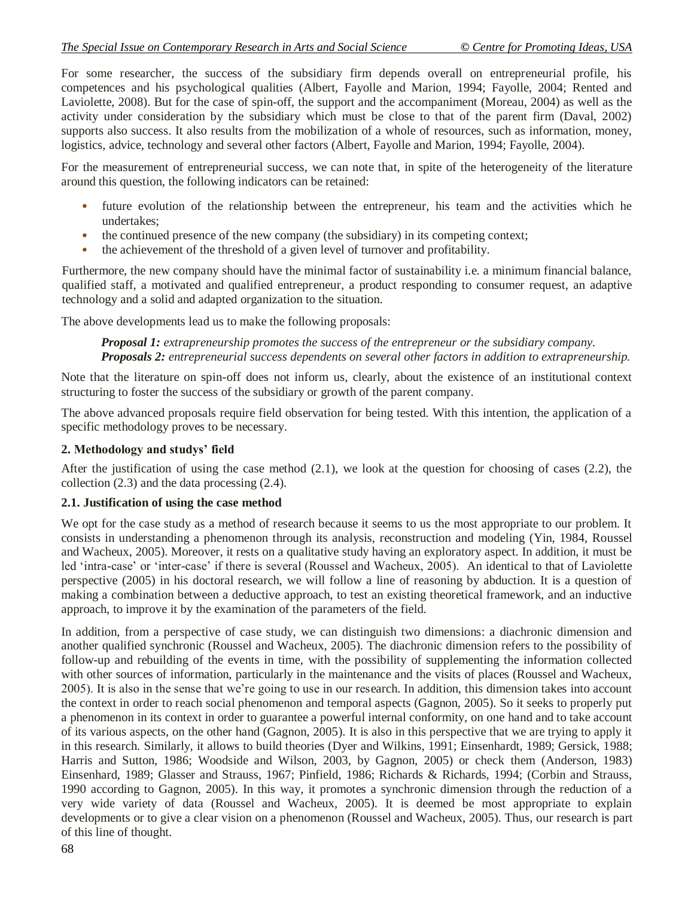For some researcher, the success of the subsidiary firm depends overall on entrepreneurial profile, his competences and his psychological qualities (Albert, Fayolle and Marion, 1994; Fayolle, 2004; Rented and Laviolette, 2008). But for the case of spin-off, the support and the accompaniment (Moreau, 2004) as well as the activity under consideration by the subsidiary which must be close to that of the parent firm (Daval, 2002) supports also success. It also results from the mobilization of a whole of resources, such as information, money, logistics, advice, technology and several other factors (Albert, Fayolle and Marion, 1994; Fayolle, 2004).

For the measurement of entrepreneurial success, we can note that, in spite of the heterogeneity of the literature around this question, the following indicators can be retained:

- future evolution of the relationship between the entrepreneur, his team and the activities which he undertakes;
- the continued presence of the new company (the subsidiary) in its competing context;
- the achievement of the threshold of a given level of turnover and profitability.

Furthermore, the new company should have the minimal factor of sustainability i.e. a minimum financial balance, qualified staff, a motivated and qualified entrepreneur, a product responding to consumer request, an adaptive technology and a solid and adapted organization to the situation.

The above developments lead us to make the following proposals:

*Proposal 1: extrapreneurship promotes the success of the entrepreneur or the subsidiary company. Proposals 2: entrepreneurial success dependents on several other factors in addition to extrapreneurship.*

Note that the literature on spin-off does not inform us, clearly, about the existence of an institutional context structuring to foster the success of the subsidiary or growth of the parent company.

The above advanced proposals require field observation for being tested. With this intention, the application of a specific methodology proves to be necessary.

#### **2. Methodology and studys' field**

After the justification of using the case method  $(2.1)$ , we look at the question for choosing of cases  $(2.2)$ , the collection (2.3) and the data processing (2.4).

#### **2.1. Justification of using the case method**

We opt for the case study as a method of research because it seems to us the most appropriate to our problem. It consists in understanding a phenomenon through its analysis, reconstruction and modeling (Yin, 1984, Roussel and Wacheux, 2005). Moreover, it rests on a qualitative study having an exploratory aspect. In addition, it must be led 'intra-case' or 'inter-case' if there is several (Roussel and Wacheux, 2005). An identical to that of Laviolette perspective (2005) in his doctoral research, we will follow a line of reasoning by abduction. It is a question of making a combination between a deductive approach, to test an existing theoretical framework, and an inductive approach, to improve it by the examination of the parameters of the field.

In addition, from a perspective of case study, we can distinguish two dimensions: a diachronic dimension and another qualified synchronic (Roussel and Wacheux, 2005). The diachronic dimension refers to the possibility of follow-up and rebuilding of the events in time, with the possibility of supplementing the information collected with other sources of information, particularly in the maintenance and the visits of places (Roussel and Wacheux, 2005). It is also in the sense that we're going to use in our research. In addition, this dimension takes into account the context in order to reach social phenomenon and temporal aspects (Gagnon, 2005). So it seeks to properly put a phenomenon in its context in order to guarantee a powerful internal conformity, on one hand and to take account of its various aspects, on the other hand (Gagnon, 2005). It is also in this perspective that we are trying to apply it in this research. Similarly, it allows to build theories (Dyer and Wilkins, 1991; Einsenhardt, 1989; Gersick, 1988; Harris and Sutton, 1986; Woodside and Wilson, 2003, by Gagnon, 2005) or check them (Anderson, 1983) Einsenhard, 1989; Glasser and Strauss, 1967; Pinfield, 1986; Richards & Richards, 1994; (Corbin and Strauss, 1990 according to Gagnon, 2005). In this way, it promotes a synchronic dimension through the reduction of a very wide variety of data (Roussel and Wacheux, 2005). It is deemed be most appropriate to explain developments or to give a clear vision on a phenomenon (Roussel and Wacheux, 2005). Thus, our research is part of this line of thought.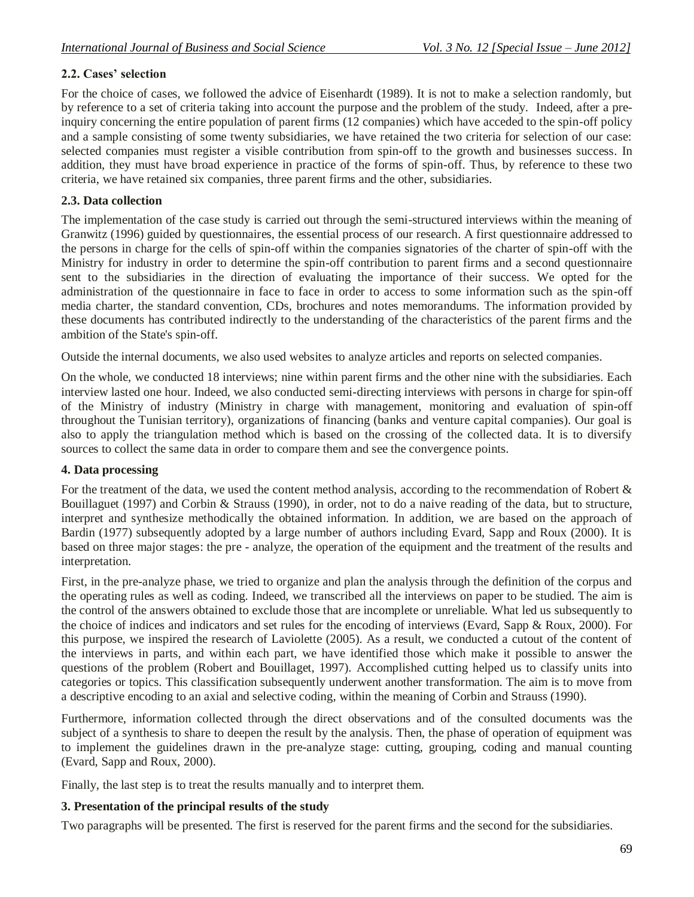## **2.2. Cases' selection**

For the choice of cases, we followed the advice of Eisenhardt (1989). It is not to make a selection randomly, but by reference to a set of criteria taking into account the purpose and the problem of the study. Indeed, after a preinquiry concerning the entire population of parent firms (12 companies) which have acceded to the spin-off policy and a sample consisting of some twenty subsidiaries, we have retained the two criteria for selection of our case: selected companies must register a visible contribution from spin-off to the growth and businesses success. In addition, they must have broad experience in practice of the forms of spin-off. Thus, by reference to these two criteria, we have retained six companies, three parent firms and the other, subsidiaries.

#### **2.3. Data collection**

The implementation of the case study is carried out through the semi-structured interviews within the meaning of Granwitz (1996) guided by questionnaires, the essential process of our research. A first questionnaire addressed to the persons in charge for the cells of spin-off within the companies signatories of the charter of spin-off with the Ministry for industry in order to determine the spin-off contribution to parent firms and a second questionnaire sent to the subsidiaries in the direction of evaluating the importance of their success. We opted for the administration of the questionnaire in face to face in order to access to some information such as the spin-off media charter, the standard convention, CDs, brochures and notes memorandums. The information provided by these documents has contributed indirectly to the understanding of the characteristics of the parent firms and the ambition of the State's spin-off.

Outside the internal documents, we also used websites to analyze articles and reports on selected companies.

On the whole, we conducted 18 interviews; nine within parent firms and the other nine with the subsidiaries. Each interview lasted one hour. Indeed, we also conducted semi-directing interviews with persons in charge for spin-off of the Ministry of industry (Ministry in charge with management, monitoring and evaluation of spin-off throughout the Tunisian territory), organizations of financing (banks and venture capital companies). Our goal is also to apply the triangulation method which is based on the crossing of the collected data. It is to diversify sources to collect the same data in order to compare them and see the convergence points.

#### **4. Data processing**

For the treatment of the data, we used the content method analysis, according to the recommendation of Robert & Bouillaguet (1997) and Corbin & Strauss (1990), in order, not to do a naive reading of the data, but to structure, interpret and synthesize methodically the obtained information. In addition, we are based on the approach of Bardin (1977) subsequently adopted by a large number of authors including Evard, Sapp and Roux (2000). It is based on three major stages: the pre - analyze, the operation of the equipment and the treatment of the results and interpretation.

First, in the pre-analyze phase, we tried to organize and plan the analysis through the definition of the corpus and the operating rules as well as coding. Indeed, we transcribed all the interviews on paper to be studied. The aim is the control of the answers obtained to exclude those that are incomplete or unreliable. What led us subsequently to the choice of indices and indicators and set rules for the encoding of interviews (Evard, Sapp & Roux, 2000). For this purpose, we inspired the research of Laviolette (2005). As a result, we conducted a cutout of the content of the interviews in parts, and within each part, we have identified those which make it possible to answer the questions of the problem (Robert and Bouillaget, 1997). Accomplished cutting helped us to classify units into categories or topics. This classification subsequently underwent another transformation. The aim is to move from a descriptive encoding to an axial and selective coding, within the meaning of Corbin and Strauss (1990).

Furthermore, information collected through the direct observations and of the consulted documents was the subject of a synthesis to share to deepen the result by the analysis. Then, the phase of operation of equipment was to implement the guidelines drawn in the pre-analyze stage: cutting, grouping, coding and manual counting (Evard, Sapp and Roux, 2000).

Finally, the last step is to treat the results manually and to interpret them.

## **3. Presentation of the principal results of the study**

Two paragraphs will be presented. The first is reserved for the parent firms and the second for the subsidiaries.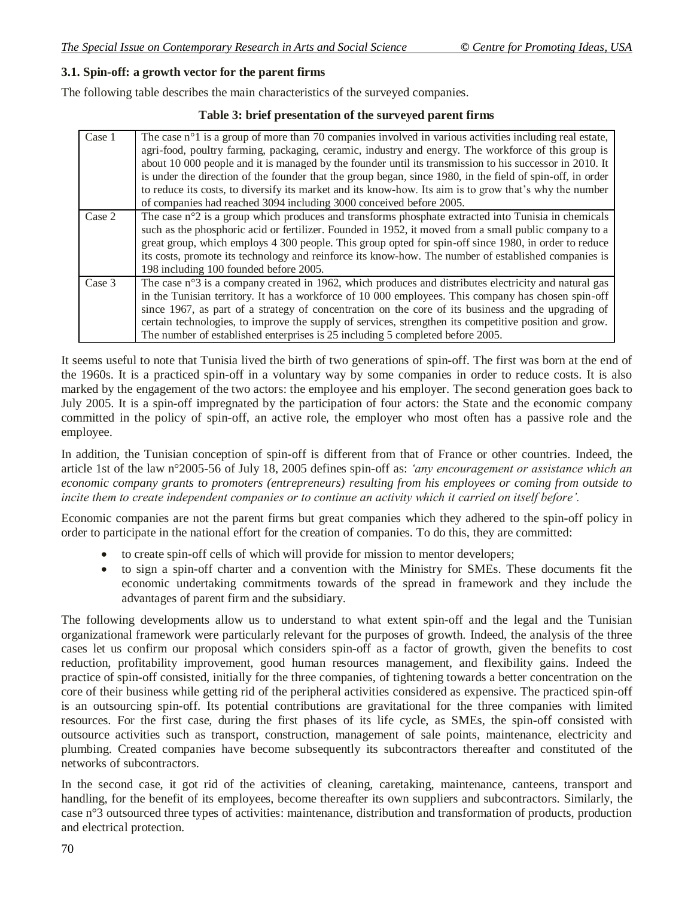#### **3.1. Spin-off: a growth vector for the parent firms**

The following table describes the main characteristics of the surveyed companies.

#### **Table 3: brief presentation of the surveyed parent firms**

| Case 1 | The case $n^{\circ}1$ is a group of more than 70 companies involved in various activities including real estate,<br>agri-food, poultry farming, packaging, ceramic, industry and energy. The workforce of this group is<br>about 10 000 people and it is managed by the founder until its transmission to his successor in 2010. It<br>is under the direction of the founder that the group began, since 1980, in the field of spin-off, in order<br>to reduce its costs, to diversify its market and its know-how. Its aim is to grow that's why the number<br>of companies had reached 3094 including 3000 conceived before 2005. |
|--------|-------------------------------------------------------------------------------------------------------------------------------------------------------------------------------------------------------------------------------------------------------------------------------------------------------------------------------------------------------------------------------------------------------------------------------------------------------------------------------------------------------------------------------------------------------------------------------------------------------------------------------------|
| Case 2 | The case $n^{\circ}2$ is a group which produces and transforms phosphate extracted into Tunisia in chemicals<br>such as the phosphoric acid or fertilizer. Founded in 1952, it moved from a small public company to a<br>great group, which employs 4 300 people. This group opted for spin-off since 1980, in order to reduce<br>its costs, promote its technology and reinforce its know-how. The number of established companies is<br>198 including 100 founded before 2005.                                                                                                                                                    |
| Case 3 | The case $n^{\circ}3$ is a company created in 1962, which produces and distributes electricity and natural gas<br>in the Tunisian territory. It has a workforce of 10 000 employees. This company has chosen spin-off<br>since 1967, as part of a strategy of concentration on the core of its business and the upgrading of<br>certain technologies, to improve the supply of services, strengthen its competitive position and grow.<br>The number of established enterprises is 25 including 5 completed before 2005.                                                                                                            |

It seems useful to note that Tunisia lived the birth of two generations of spin-off. The first was born at the end of the 1960s. It is a practiced spin-off in a voluntary way by some companies in order to reduce costs. It is also marked by the engagement of the two actors: the employee and his employer. The second generation goes back to July 2005. It is a spin-off impregnated by the participation of four actors: the State and the economic company committed in the policy of spin-off, an active role, the employer who most often has a passive role and the employee.

In addition, the Tunisian conception of spin-off is different from that of France or other countries. Indeed, the article 1st of the law n°2005-56 of July 18, 2005 defines spin-off as: *'any encouragement or assistance which an economic company grants to promoters (entrepreneurs) resulting from his employees or coming from outside to incite them to create independent companies or to continue an activity which it carried on itself before'.*

Economic companies are not the parent firms but great companies which they adhered to the spin-off policy in order to participate in the national effort for the creation of companies. To do this, they are committed:

- to create spin-off cells of which will provide for mission to mentor developers;
- to sign a spin-off charter and a convention with the Ministry for SMEs. These documents fit the economic undertaking commitments towards of the spread in framework and they include the advantages of parent firm and the subsidiary.

The following developments allow us to understand to what extent spin-off and the legal and the Tunisian organizational framework were particularly relevant for the purposes of growth. Indeed, the analysis of the three cases let us confirm our proposal which considers spin-off as a factor of growth, given the benefits to cost reduction, profitability improvement, good human resources management, and flexibility gains. Indeed the practice of spin-off consisted, initially for the three companies, of tightening towards a better concentration on the core of their business while getting rid of the peripheral activities considered as expensive. The practiced spin-off is an outsourcing spin-off. Its potential contributions are gravitational for the three companies with limited resources. For the first case, during the first phases of its life cycle, as SMEs, the spin-off consisted with outsource activities such as transport, construction, management of sale points, maintenance, electricity and plumbing. Created companies have become subsequently its subcontractors thereafter and constituted of the networks of subcontractors.

In the second case, it got rid of the activities of cleaning, caretaking, maintenance, canteens, transport and handling, for the benefit of its employees, become thereafter its own suppliers and subcontractors. Similarly, the case n°3 outsourced three types of activities: maintenance, distribution and transformation of products, production and electrical protection.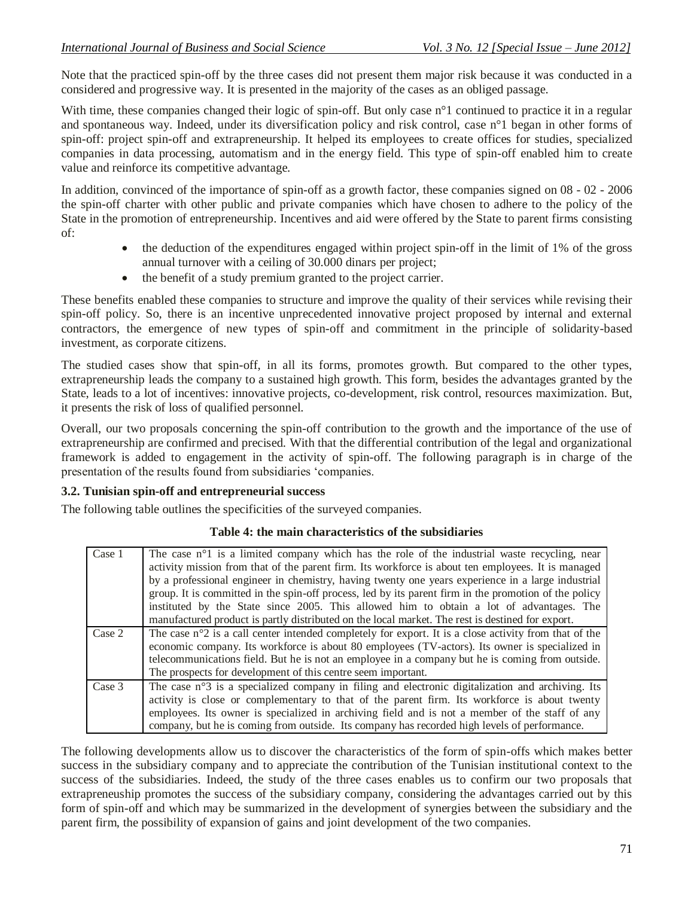Note that the practiced spin-off by the three cases did not present them major risk because it was conducted in a considered and progressive way. It is presented in the majority of the cases as an obliged passage.

With time, these companies changed their logic of spin-off. But only case n<sup>o</sup>l continued to practice it in a regular and spontaneous way. Indeed, under its diversification policy and risk control, case n°1 began in other forms of spin-off: project spin-off and extrapreneurship. It helped its employees to create offices for studies, specialized companies in data processing, automatism and in the energy field. This type of spin-off enabled him to create value and reinforce its competitive advantage.

In addition, convinced of the importance of spin-off as a growth factor, these companies signed on 08 - 02 - 2006 the spin-off charter with other public and private companies which have chosen to adhere to the policy of the State in the promotion of entrepreneurship. Incentives and aid were offered by the State to parent firms consisting of:

- the deduction of the expenditures engaged within project spin-off in the limit of 1% of the gross annual turnover with a ceiling of 30.000 dinars per project;
- the benefit of a study premium granted to the project carrier.

These benefits enabled these companies to structure and improve the quality of their services while revising their spin-off policy. So, there is an incentive unprecedented innovative project proposed by internal and external contractors, the emergence of new types of spin-off and commitment in the principle of solidarity-based investment, as corporate citizens.

The studied cases show that spin-off, in all its forms, promotes growth. But compared to the other types, extrapreneurship leads the company to a sustained high growth. This form, besides the advantages granted by the State, leads to a lot of incentives: innovative projects, co-development, risk control, resources maximization. But, it presents the risk of loss of qualified personnel.

Overall, our two proposals concerning the spin-off contribution to the growth and the importance of the use of extrapreneurship are confirmed and precised. With that the differential contribution of the legal and organizational framework is added to engagement in the activity of spin-off. The following paragraph is in charge of the presentation of the results found from subsidiaries 'companies.

#### **3.2. Tunisian spin-off and entrepreneurial success**

The following table outlines the specificities of the surveyed companies.

#### **Table 4: the main characteristics of the subsidiaries**

| Case 1 | The case $n^{\circ}1$ is a limited company which has the role of the industrial waste recycling, near<br>activity mission from that of the parent firm. Its workforce is about ten employees. It is managed |  |  |  |  |  |  |
|--------|-------------------------------------------------------------------------------------------------------------------------------------------------------------------------------------------------------------|--|--|--|--|--|--|
|        |                                                                                                                                                                                                             |  |  |  |  |  |  |
|        | by a professional engineer in chemistry, having twenty one years experience in a large industrial                                                                                                           |  |  |  |  |  |  |
|        | group. It is committed in the spin-off process, led by its parent firm in the promotion of the policy                                                                                                       |  |  |  |  |  |  |
|        | instituted by the State since 2005. This allowed him to obtain a lot of advantages. The                                                                                                                     |  |  |  |  |  |  |
|        | manufactured product is partly distributed on the local market. The rest is destined for export.                                                                                                            |  |  |  |  |  |  |
|        |                                                                                                                                                                                                             |  |  |  |  |  |  |
| Case 2 | The case $n^{\circ}2$ is a call center intended completely for export. It is a close activity from that of the                                                                                              |  |  |  |  |  |  |
|        | economic company. Its workforce is about 80 employees (TV-actors). Its owner is specialized in                                                                                                              |  |  |  |  |  |  |
|        | telecommunications field. But he is not an employee in a company but he is coming from outside.                                                                                                             |  |  |  |  |  |  |
|        | The prospects for development of this centre seem important.                                                                                                                                                |  |  |  |  |  |  |
| Case 3 | The case $n^{\circ}$ is a specialized company in filing and electronic digitalization and archiving. Its                                                                                                    |  |  |  |  |  |  |
|        | activity is close or complementary to that of the parent firm. Its workforce is about twenty                                                                                                                |  |  |  |  |  |  |
|        | employees. Its owner is specialized in archiving field and is not a member of the staff of any                                                                                                              |  |  |  |  |  |  |
|        | company, but he is coming from outside. Its company has recorded high levels of performance.                                                                                                                |  |  |  |  |  |  |

The following developments allow us to discover the characteristics of the form of spin-offs which makes better success in the subsidiary company and to appreciate the contribution of the Tunisian institutional context to the success of the subsidiaries. Indeed, the study of the three cases enables us to confirm our two proposals that extrapreneuship promotes the success of the subsidiary company, considering the advantages carried out by this form of spin-off and which may be summarized in the development of synergies between the subsidiary and the parent firm, the possibility of expansion of gains and joint development of the two companies.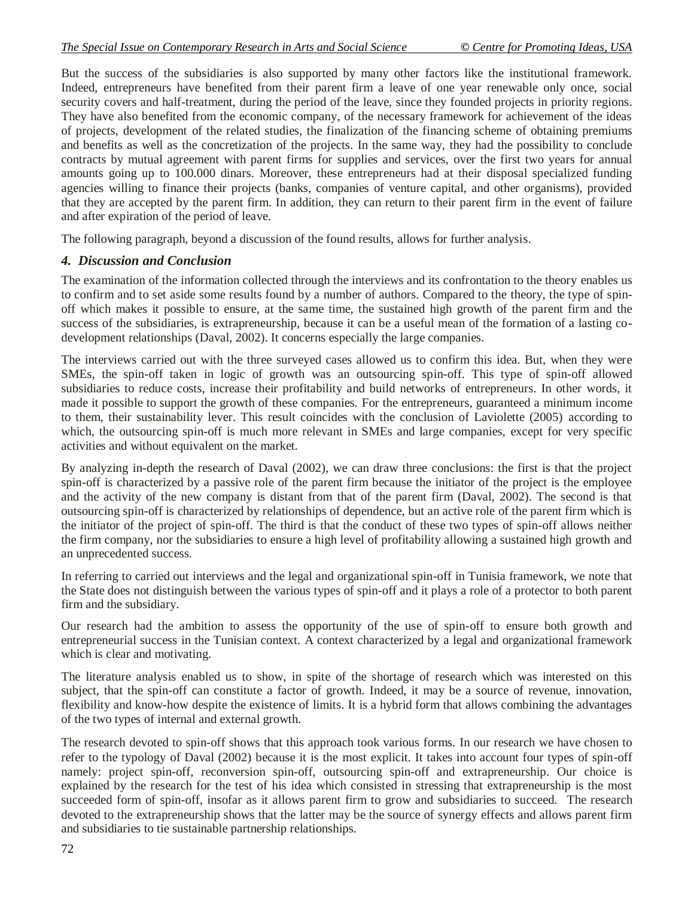But the success of the subsidiaries is also supported by many other factors like the institutional framework. Indeed, entrepreneurs have benefited from their parent firm a leave of one year renewable only once, social security covers and half-treatment, during the period of the leave, since they founded projects in priority regions. They have also benefited from the economic company, of the necessary framework for achievement of the ideas of projects, development of the related studies, the finalization of the financing scheme of obtaining premiums and benefits as well as the concretization of the projects. In the same way, they had the possibility to conclude contracts by mutual agreement with parent firms for supplies and services, over the first two years for annual amounts going up to 100.000 dinars. Moreover, these entrepreneurs had at their disposal specialized funding agencies willing to finance their projects (banks, companies of venture capital, and other organisms), provided that they are accepted by the parent firm. In addition, they can return to their parent firm in the event of failure and after expiration of the period of leave.

The following paragraph, beyond a discussion of the found results, allows for further analysis.

#### *4. Discussion and Conclusion*

The examination of the information collected through the interviews and its confrontation to the theory enables us to confirm and to set aside some results found by a number of authors. Compared to the theory, the type of spinoff which makes it possible to ensure, at the same time, the sustained high growth of the parent firm and the success of the subsidiaries, is extrapreneurship, because it can be a useful mean of the formation of a lasting codevelopment relationships (Daval, 2002). It concerns especially the large companies.

The interviews carried out with the three surveyed cases allowed us to confirm this idea. But, when they were SMEs, the spin-off taken in logic of growth was an outsourcing spin-off. This type of spin-off allowed subsidiaries to reduce costs, increase their profitability and build networks of entrepreneurs. In other words, it made it possible to support the growth of these companies. For the entrepreneurs, guaranteed a minimum income to them, their sustainability lever. This result coincides with the conclusion of Laviolette (2005) according to which, the outsourcing spin-off is much more relevant in SMEs and large companies, except for very specific activities and without equivalent on the market.

By analyzing in-depth the research of Daval (2002), we can draw three conclusions: the first is that the project spin-off is characterized by a passive role of the parent firm because the initiator of the project is the employee and the activity of the new company is distant from that of the parent firm (Daval, 2002). The second is that outsourcing spin-off is characterized by relationships of dependence, but an active role of the parent firm which is the initiator of the project of spin-off. The third is that the conduct of these two types of spin-off allows neither the firm company, nor the subsidiaries to ensure a high level of profitability allowing a sustained high growth and an unprecedented success.

In referring to carried out interviews and the legal and organizational spin-off in Tunisia framework, we note that the State does not distinguish between the various types of spin-off and it plays a role of a protector to both parent firm and the subsidiary.

Our research had the ambition to assess the opportunity of the use of spin-off to ensure both growth and entrepreneurial success in the Tunisian context. A context characterized by a legal and organizational framework which is clear and motivating.

The literature analysis enabled us to show, in spite of the shortage of research which was interested on this subject, that the spin-off can constitute a factor of growth. Indeed, it may be a source of revenue, innovation, flexibility and know-how despite the existence of limits. It is a hybrid form that allows combining the advantages of the two types of internal and external growth.

The research devoted to spin-off shows that this approach took various forms. In our research we have chosen to refer to the typology of Daval (2002) because it is the most explicit. It takes into account four types of spin-off namely: project spin-off, reconversion spin-off, outsourcing spin-off and extrapreneurship. Our choice is explained by the research for the test of his idea which consisted in stressing that extrapreneurship is the most succeeded form of spin-off, insofar as it allows parent firm to grow and subsidiaries to succeed. The research devoted to the extrapreneurship shows that the latter may be the source of synergy effects and allows parent firm and subsidiaries to tie sustainable partnership relationships.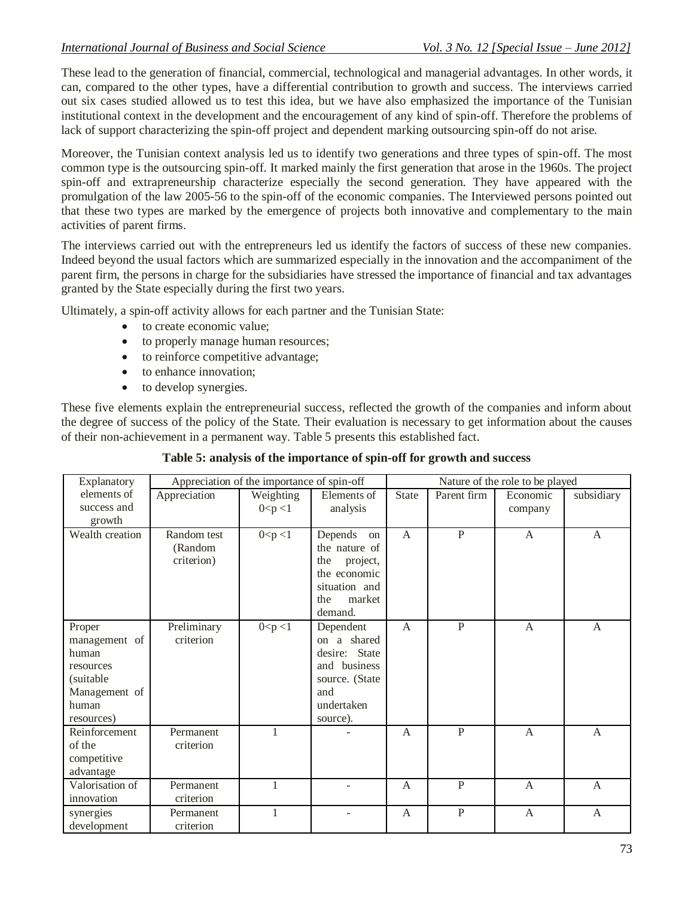These lead to the generation of financial, commercial, technological and managerial advantages. In other words, it can, compared to the other types, have a differential contribution to growth and success. The interviews carried out six cases studied allowed us to test this idea, but we have also emphasized the importance of the Tunisian institutional context in the development and the encouragement of any kind of spin-off. Therefore the problems of lack of support characterizing the spin-off project and dependent marking outsourcing spin-off do not arise.

Moreover, the Tunisian context analysis led us to identify two generations and three types of spin-off. The most common type is the outsourcing spin-off. It marked mainly the first generation that arose in the 1960s. The project spin-off and extrapreneurship characterize especially the second generation. They have appeared with the promulgation of the law 2005-56 to the spin-off of the economic companies. The Interviewed persons pointed out that these two types are marked by the emergence of projects both innovative and complementary to the main activities of parent firms.

The interviews carried out with the entrepreneurs led us identify the factors of success of these new companies. Indeed beyond the usual factors which are summarized especially in the innovation and the accompaniment of the parent firm, the persons in charge for the subsidiaries have stressed the importance of financial and tax advantages granted by the State especially during the first two years.

Ultimately, a spin-off activity allows for each partner and the Tunisian State:

- to create economic value;
- to properly manage human resources;
- to reinforce competitive advantage;
- to enhance innovation;
- to develop synergies.

These five elements explain the entrepreneurial success, reflected the growth of the companies and inform about the degree of success of the policy of the State. Their evaluation is necessary to get information about the causes of their non-achievement in a permanent way. Table 5 presents this established fact.

|  | Table 5: analysis of the importance of spin-off for growth and success |  |  |  |  |
|--|------------------------------------------------------------------------|--|--|--|--|
|  |                                                                        |  |  |  |  |

| Explanatory     | Appreciation of the importance of spin-off |           |                 |              | Nature of the role to be played |                |              |  |
|-----------------|--------------------------------------------|-----------|-----------------|--------------|---------------------------------|----------------|--------------|--|
| elements of     | Appreciation                               | Weighting | Elements of     | <b>State</b> | Parent firm                     | Economic       | subsidiary   |  |
| success and     |                                            | 0 < p < 1 | analysis        |              |                                 | company        |              |  |
| growth          |                                            |           |                 |              |                                 |                |              |  |
| Wealth creation | Random test                                | 0 < p < 1 | Depends<br>on   | A            | $\mathbf{P}$                    | $\mathbf{A}$   | A            |  |
|                 | (Random                                    |           | the nature of   |              |                                 |                |              |  |
|                 | criterion)                                 |           | the<br>project, |              |                                 |                |              |  |
|                 |                                            |           | the economic    |              |                                 |                |              |  |
|                 |                                            |           | situation and   |              |                                 |                |              |  |
|                 |                                            |           | market<br>the   |              |                                 |                |              |  |
|                 |                                            |           | demand.         |              |                                 |                |              |  |
| Proper          | Preliminary                                | 0 < p < 1 | Dependent       | $\mathsf{A}$ | $\mathbf{P}$                    | $\mathsf{A}$   | $\mathsf{A}$ |  |
| management of   | criterion                                  |           | a shared<br>on  |              |                                 |                |              |  |
| human           |                                            |           | desire: State   |              |                                 |                |              |  |
| resources       |                                            |           | and business    |              |                                 |                |              |  |
| (suitable       |                                            |           | source. (State  |              |                                 |                |              |  |
| Management of   |                                            |           | and             |              |                                 |                |              |  |
| human           |                                            |           | undertaken      |              |                                 |                |              |  |
| resources)      |                                            |           | source).        |              |                                 |                |              |  |
| Reinforcement   | Permanent                                  | 1         |                 | $\mathsf{A}$ | $\overline{P}$                  | $\overline{A}$ | $\mathsf{A}$ |  |
| of the          | criterion                                  |           |                 |              |                                 |                |              |  |
| competitive     |                                            |           |                 |              |                                 |                |              |  |
| advantage       |                                            |           |                 |              |                                 |                |              |  |
| Valorisation of | Permanent                                  |           |                 | A            | $\mathbf{P}$                    | $\mathsf{A}$   | A            |  |
| innovation      | criterion                                  |           |                 |              |                                 |                |              |  |
| synergies       | Permanent                                  | 1         |                 | A            | $\mathbf{P}$                    | $\mathbf{A}$   | A            |  |
| development     | criterion                                  |           |                 |              |                                 |                |              |  |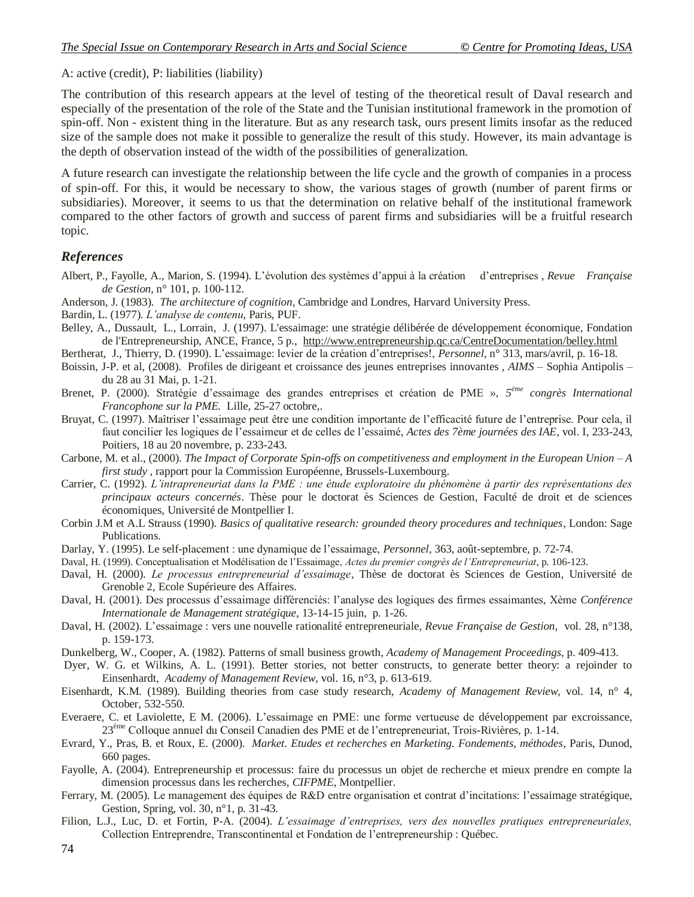A: active (credit), P: liabilities (liability)

The contribution of this research appears at the level of testing of the theoretical result of Daval research and especially of the presentation of the role of the State and the Tunisian institutional framework in the promotion of spin-off. Non - existent thing in the literature. But as any research task, ours present limits insofar as the reduced size of the sample does not make it possible to generalize the result of this study. However, its main advantage is the depth of observation instead of the width of the possibilities of generalization.

A future research can investigate the relationship between the life cycle and the growth of companies in a process of spin-off. For this, it would be necessary to show, the various stages of growth (number of parent firms or subsidiaries). Moreover, it seems to us that the determination on relative behalf of the institutional framework compared to the other factors of growth and success of parent firms and subsidiaries will be a fruitful research topic.

## *References*

- Albert, P., Fayolle, A., Marion, S. (1994). L'évolution des systèmes d'appui à la création d'entreprises , *Revue Française de Gestion,* n° 101, p. 100-112.
- Anderson, J. (1983). *The architecture of cognition*, Cambridge and Londres, Harvard University Press.
- Bardin, L. (1977). *L'analyse de contenu*, Paris, PUF.
- Belley, A., Dussault, L., Lorrain, J. (1997). L'essaimage: une stratégie délibérée de développement économique, Fondation de l'Entrepreneurship, ANCE, France, 5 p., <http://www.entrepreneurship.qc.ca/CentreDocumentation/belley.html>
- Bertherat, J., Thierry, D. (1990). L'essaimage: levier de la création d'entreprises!, *Personnel*, n° 313, mars/avril, p. 16-18.
- Boissin, J-P. et al, (2008). Profiles de dirigeant et croissance des jeunes entreprises innovantes *, AIMS* Sophia Antipolis du 28 au 31 Mai, p. 1-21.
- Brenet, P. (2000). Stratégie d'essaimage des grandes entreprises et création de PME », *5 ème congrès International Francophone sur la PME.* Lille, 25-27 octobre,.
- Bruyat, C. (1997). Maîtriser l'essaimage peut être une condition importante de l'efficacité future de l'entreprise. Pour cela, il faut concilier les logiques de l'essaimeur et de celles de l'essaimé, *Actes des 7ème journées des IAE*, vol. I, 233-243, Poitiers, 18 au 20 novembre, p. 233-243.
- Carbone, M. et al., (2000). *The Impact of Corporate Spin-offs on competitiveness and employment in the European Union – A first study* , rapport pour la Commission Européenne, Brussels-Luxembourg.
- Carrier, C. (1992). *L'intrapreneuriat dans la PME : une étude exploratoire du phénomène à partir des représentations des principaux acteurs concernés*. Thèse pour le doctorat ès Sciences de Gestion, Faculté de droit et de sciences économiques, Université de Montpellier I.
- Corbin J.M et A.L Strauss (1990). *Basics of qualitative research: grounded theory procedures and techniques*, London: Sage Publications.
- Darlay, Y. (1995). Le self-placement : une dynamique de l'essaimage, *Personnel*, 363, août-septembre, p. 72-74.
- Daval, H. (1999). Conceptualisation et Modélisation de l'Essaimage, *Actes du premier congrès de l'Entrepreneuriat*, p. 106-123.
- Daval, H. (2000). *Le processus entrepreneurial d'essaimage*, Thèse de doctorat ès Sciences de Gestion, Université de Grenoble 2, Ecole Supérieure des Affaires.
- Daval, H. (2001). Des processus d'essaimage différenciés: l'analyse des logiques des firmes essaimantes, Xème *Conférence Internationale de Management stratégique*, 13-14-15 juin, p. 1-26.
- Daval, H. (2002). L'essaimage : vers une nouvelle rationalité entrepreneuriale, *Revue Française de Gestion*, vol. 28, n°138, p. 159-173.
- Dunkelberg, W., Cooper, A. (1982). Patterns of small business growth, *Academy of Management Proceedings*, p. 409-413.
- Dyer, W. G. et Wilkins, A. L. (1991). Better stories, not better constructs, to generate better theory: a rejoinder to Einsenhardt, *Academy of Management Review*, vol. 16, n°3, p. 613-619.
- Eisenhardt, K.M. (1989). Building theories from case study research, *Academy of Management Review*, vol. 14, n° 4, October, 532-550.
- Everaere, C. et Laviolette, E M. (2006). L'essaimage en PME: une forme vertueuse de développement par excroissance, 23<sup>ème</sup> Colloque annuel du Conseil Canadien des PME et de l'entrepreneuriat, Trois-Rivières, p. 1-14.
- Evrard, Y., Pras, B. et Roux, E. (2000). *Market. Etudes et recherches en Marketing. Fondements, méthodes*, Paris, Dunod, 660 pages.
- Fayolle, A. (2004). Entrepreneurship et processus: faire du processus un objet de recherche et mieux prendre en compte la dimension processus dans les recherches, *CIFPME*, Montpellier.
- Ferrary, M. (2005). Le management des équipes de R&D entre organisation et contrat d'incitations: l'essaimage stratégique, Gestion, Spring, vol. 30, n°1, p. 31-43.
- Filion, L.J., Luc, D. et Fortin, P-A. (2004). *L'essaimage d'entreprises, vers des nouvelles pratiques entrepreneuriales,*  Collection Entreprendre, Transcontinental et Fondation de l'entrepreneurship : Québec.